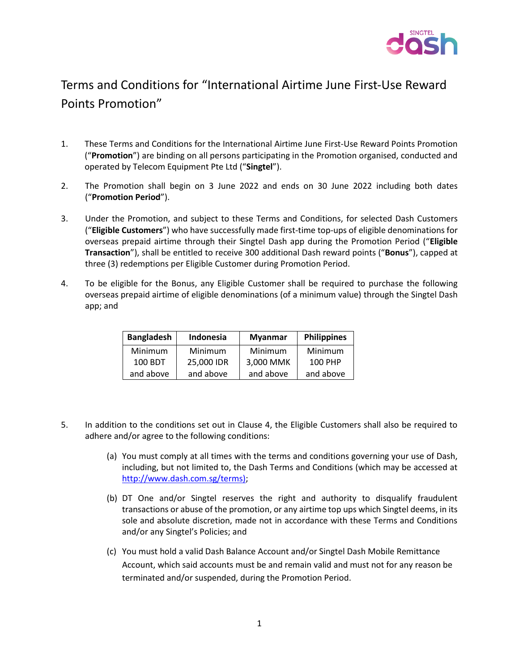

## Terms and Conditions for "International Airtime June First-Use Reward Points Promotion"

- 1. These Terms and Conditions for the International Airtime June First-Use Reward Points Promotion ("**Promotion**") are binding on all persons participating in the Promotion organised, conducted and operated by Telecom Equipment Pte Ltd ("**Singtel**").
- 2. The Promotion shall begin on 3 June 2022 and ends on 30 June 2022 including both dates ("**Promotion Period**").
- 3. Under the Promotion, and subject to these Terms and Conditions, for selected Dash Customers ("**Eligible Customers**") who have successfully made first-time top-ups of eligible denominations for overseas prepaid airtime through their Singtel Dash app during the Promotion Period ("**Eligible Transaction**"), shall be entitled to receive 300 additional Dash reward points ("**Bonus**"), capped at three (3) redemptions per Eligible Customer during Promotion Period.
- 4. To be eligible for the Bonus, any Eligible Customer shall be required to purchase the following overseas prepaid airtime of eligible denominations (of a minimum value) through the Singtel Dash app; and

| <b>Bangladesh</b> | Indonesia      | <b>Myanmar</b> | <b>Philippines</b> |
|-------------------|----------------|----------------|--------------------|
| <b>Minimum</b>    | <b>Minimum</b> | Minimum        | Minimum            |
| 100 BDT           | 25,000 IDR     | 3,000 MMK      | 100 PHP            |
| and above         | and above      | and above      | and above          |

- 5. In addition to the conditions set out in Clause 4, the Eligible Customers shall also be required to adhere and/or agree to the following conditions:
	- (a) You must comply at all times with the terms and conditions governing your use of Dash, including, but not limited to, the Dash Terms and Conditions (which may be accessed at [http://www.dash.com.sg/terms\);](http://www.dash.com.sg/terms))
	- (b) DT One and/or Singtel reserves the right and authority to disqualify fraudulent transactions or abuse of the promotion, or any airtime top ups which Singtel deems, in its sole and absolute discretion, made not in accordance with these Terms and Conditions and/or any Singtel's Policies; and
	- (c) You must hold a valid Dash Balance Account and/or Singtel Dash Mobile Remittance Account, which said accounts must be and remain valid and must not for any reason be terminated and/or suspended, during the Promotion Period.